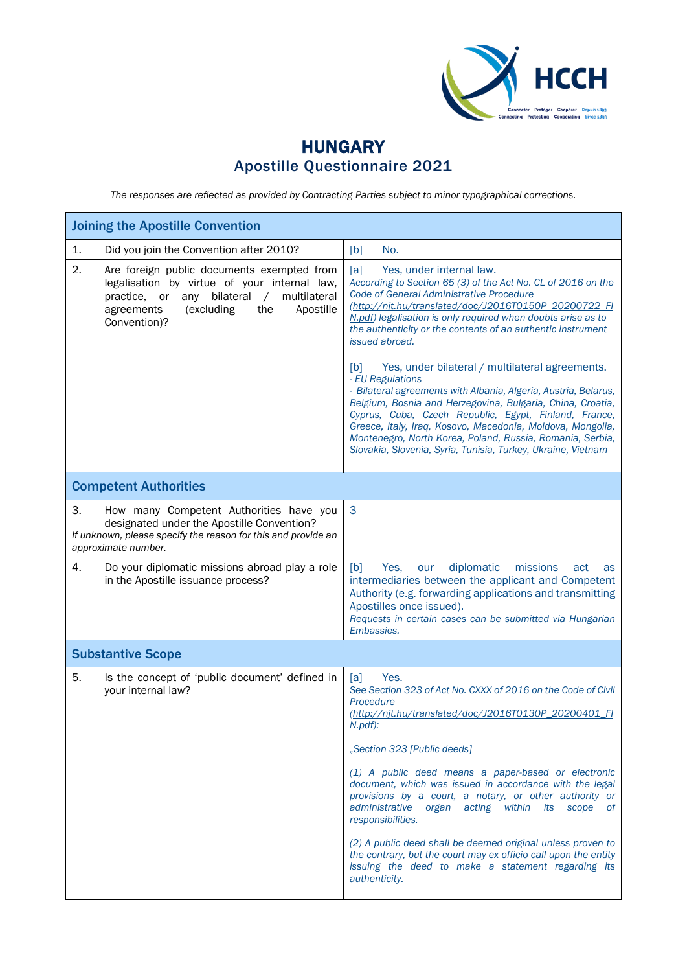

## HUNGARY Apostille Questionnaire 2021

*The responses are reflected as provided by Contracting Parties subject to minor typographical corrections.*

| <b>Joining the Apostille Convention</b>                                                                                                                                                                          |                                                                                                                                                                                                                                                                                                                                                                                                                                                                                                                                                                                                                                                                                                                                                                                                                          |
|------------------------------------------------------------------------------------------------------------------------------------------------------------------------------------------------------------------|--------------------------------------------------------------------------------------------------------------------------------------------------------------------------------------------------------------------------------------------------------------------------------------------------------------------------------------------------------------------------------------------------------------------------------------------------------------------------------------------------------------------------------------------------------------------------------------------------------------------------------------------------------------------------------------------------------------------------------------------------------------------------------------------------------------------------|
| $\mathbf{1}$ .<br>Did you join the Convention after 2010?                                                                                                                                                        | No.<br>[b]                                                                                                                                                                                                                                                                                                                                                                                                                                                                                                                                                                                                                                                                                                                                                                                                               |
| 2.<br>Are foreign public documents exempted from<br>legalisation by virtue of your internal law,<br>practice, or any bilateral /<br>multilateral<br>(excluding<br>the<br>Apostille<br>agreements<br>Convention)? | [a]<br>Yes, under internal law.<br>According to Section 65 (3) of the Act No. CL of 2016 on the<br>Code of General Administrative Procedure<br>(http://nit.hu/translated/doc/J2016T0150P 20200722 FI<br>N.pdf) legalisation is only required when doubts arise as to<br>the authenticity or the contents of an authentic instrument<br>issued abroad.<br>Yes, under bilateral / multilateral agreements.<br>[b]<br>- EU Regulations<br>- Bilateral agreements with Albania, Algeria, Austria, Belarus,<br>Belgium, Bosnia and Herzegovina, Bulgaria, China, Croatia,<br>Cyprus, Cuba, Czech Republic, Egypt, Finland, France,<br>Greece, Italy, Iraq, Kosovo, Macedonia, Moldova, Mongolia,<br>Montenegro, North Korea, Poland, Russia, Romania, Serbia,<br>Slovakia, Slovenia, Syria, Tunisia, Turkey, Ukraine, Vietnam |
| <b>Competent Authorities</b>                                                                                                                                                                                     |                                                                                                                                                                                                                                                                                                                                                                                                                                                                                                                                                                                                                                                                                                                                                                                                                          |
| 3.<br>How many Competent Authorities have you<br>designated under the Apostille Convention?<br>If unknown, please specify the reason for this and provide an<br>approximate number.                              | 3                                                                                                                                                                                                                                                                                                                                                                                                                                                                                                                                                                                                                                                                                                                                                                                                                        |
| 4.<br>Do your diplomatic missions abroad play a role<br>in the Apostille issuance process?                                                                                                                       | diplomatic<br>[b]<br>missions<br>Yes,<br>our<br>act<br>as<br>intermediaries between the applicant and Competent<br>Authority (e.g. forwarding applications and transmitting<br>Apostilles once issued).<br>Requests in certain cases can be submitted via Hungarian<br>Embassies.                                                                                                                                                                                                                                                                                                                                                                                                                                                                                                                                        |
| <b>Substantive Scope</b>                                                                                                                                                                                         |                                                                                                                                                                                                                                                                                                                                                                                                                                                                                                                                                                                                                                                                                                                                                                                                                          |
| 5.<br>Is the concept of 'public document' defined in<br>your internal law?                                                                                                                                       | Yes.<br>[a]<br>See Section 323 of Act No. CXXX of 2016 on the Code of Civil<br>Procedure<br>(http://nit.hu/translated/doc/J2016T0130P 20200401 FI<br>N.pdf):<br>"Section 323 [Public deeds]<br>(1) A public deed means a paper-based or electronic<br>document, which was issued in accordance with the legal<br>provisions by a court, a notary, or other authority or<br>administrative organ acting within its scope of<br>responsibilities.<br>(2) A public deed shall be deemed original unless proven to<br>the contrary, but the court may ex officio call upon the entity<br>issuing the deed to make a statement regarding its<br>authenticity.                                                                                                                                                                 |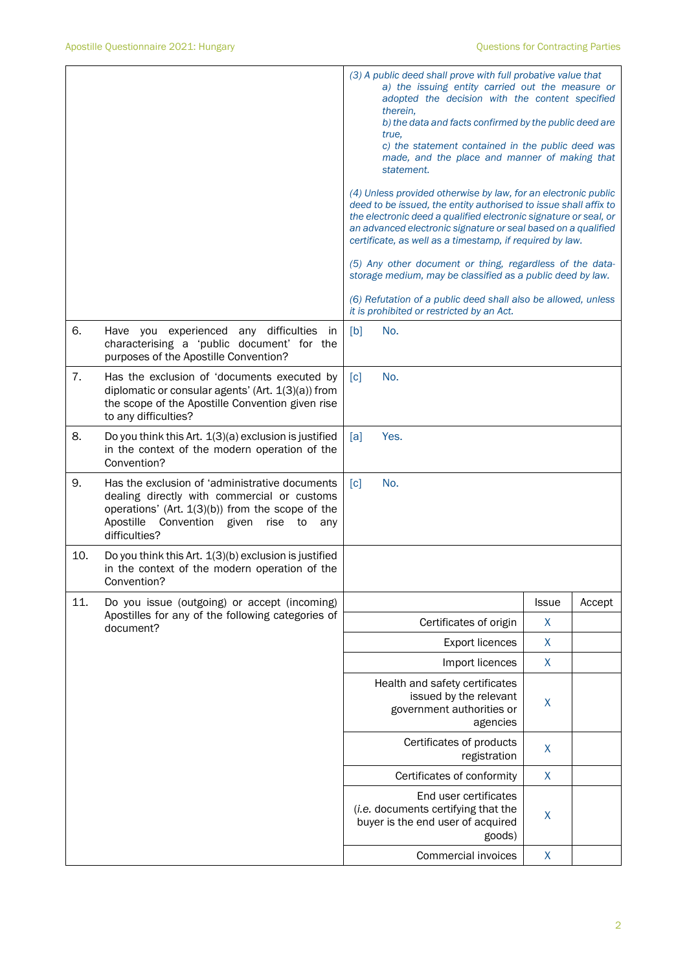|     |                                                                                                                                                                                                                             | (3) A public deed shall prove with full probative value that<br>a) the issuing entity carried out the measure or<br>adopted the decision with the content specified<br>therein,<br>b) the data and facts confirmed by the public deed are<br>true,<br>c) the statement contained in the public deed was<br>made, and the place and manner of making that<br>statement. |              |        |
|-----|-----------------------------------------------------------------------------------------------------------------------------------------------------------------------------------------------------------------------------|------------------------------------------------------------------------------------------------------------------------------------------------------------------------------------------------------------------------------------------------------------------------------------------------------------------------------------------------------------------------|--------------|--------|
|     |                                                                                                                                                                                                                             | (4) Unless provided otherwise by law, for an electronic public<br>deed to be issued, the entity authorised to issue shall affix to<br>the electronic deed a qualified electronic signature or seal, or<br>an advanced electronic signature or seal based on a qualified<br>certificate, as well as a timestamp, if required by law.                                    |              |        |
|     |                                                                                                                                                                                                                             | (5) Any other document or thing, regardless of the data-<br>storage medium, may be classified as a public deed by law.                                                                                                                                                                                                                                                 |              |        |
|     |                                                                                                                                                                                                                             | (6) Refutation of a public deed shall also be allowed, unless<br>it is prohibited or restricted by an Act.                                                                                                                                                                                                                                                             |              |        |
| 6.  | Have you experienced<br>any difficulties<br>in.<br>characterising a 'public document' for the<br>purposes of the Apostille Convention?                                                                                      | [b]<br>No.                                                                                                                                                                                                                                                                                                                                                             |              |        |
| 7.  | Has the exclusion of 'documents executed by<br>diplomatic or consular agents' (Art. 1(3)(a)) from<br>the scope of the Apostille Convention given rise<br>to any difficulties?                                               | No.<br>[c]                                                                                                                                                                                                                                                                                                                                                             |              |        |
| 8.  | Do you think this Art. 1(3)(a) exclusion is justified<br>in the context of the modern operation of the<br>Convention?                                                                                                       | [a]<br>Yes.                                                                                                                                                                                                                                                                                                                                                            |              |        |
| 9.  | Has the exclusion of 'administrative documents<br>dealing directly with commercial or customs<br>operations' (Art. $1(3)(b)$ ) from the scope of the<br>Apostille<br>Convention given<br>rise<br>to<br>any<br>difficulties? | No.<br>$\lceil c \rceil$                                                                                                                                                                                                                                                                                                                                               |              |        |
| 10. | Do you think this Art. 1(3)(b) exclusion is justified<br>in the context of the modern operation of the<br>Convention?                                                                                                       |                                                                                                                                                                                                                                                                                                                                                                        |              |        |
| 11. | Do you issue (outgoing) or accept (incoming)<br>Apostilles for any of the following categories of                                                                                                                           |                                                                                                                                                                                                                                                                                                                                                                        | <b>Issue</b> | Accept |
|     | document?                                                                                                                                                                                                                   | Certificates of origin                                                                                                                                                                                                                                                                                                                                                 | X            |        |
|     |                                                                                                                                                                                                                             | <b>Export licences</b>                                                                                                                                                                                                                                                                                                                                                 | X            |        |
|     |                                                                                                                                                                                                                             | Import licences                                                                                                                                                                                                                                                                                                                                                        | X            |        |
|     |                                                                                                                                                                                                                             | Health and safety certificates<br>issued by the relevant<br>government authorities or<br>agencies                                                                                                                                                                                                                                                                      | $\mathsf{X}$ |        |
|     |                                                                                                                                                                                                                             | Certificates of products<br>registration                                                                                                                                                                                                                                                                                                                               | X            |        |
|     |                                                                                                                                                                                                                             | Certificates of conformity                                                                                                                                                                                                                                                                                                                                             | X            |        |
|     |                                                                                                                                                                                                                             | End user certificates<br>(i.e. documents certifying that the<br>buyer is the end user of acquired<br>goods)                                                                                                                                                                                                                                                            | X            |        |
|     |                                                                                                                                                                                                                             | Commercial invoices                                                                                                                                                                                                                                                                                                                                                    | X            |        |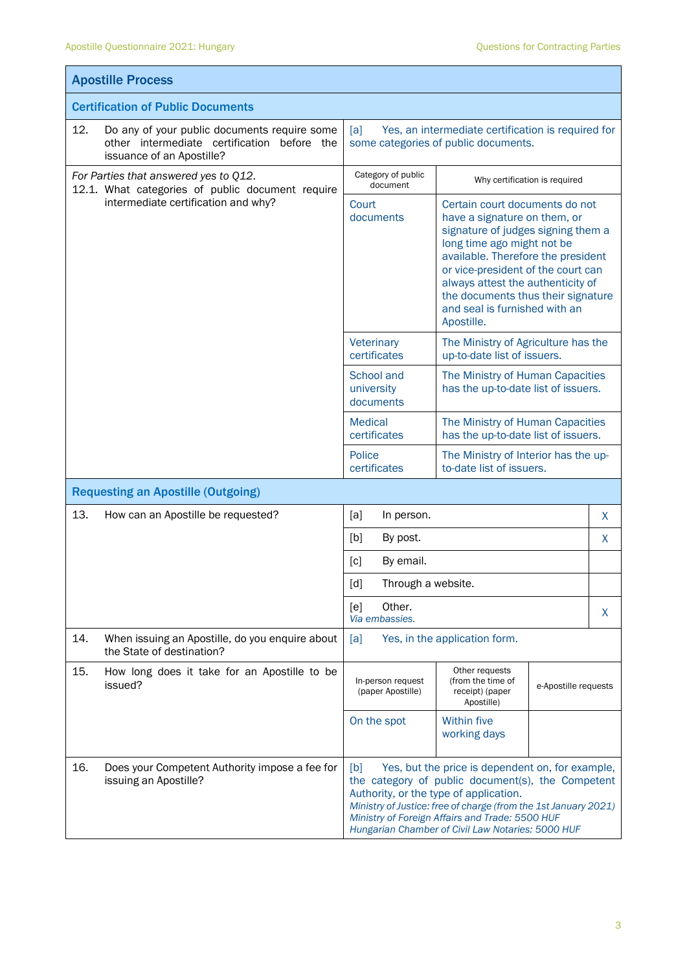$\mathbf{r}$ 

|                                           | <b>Apostille Process</b>                                                                                                 |                                                                                                                                                                                                                                                                                                                                   |                                                                                                                                                                                                                                                                                                                                          |                               |  |  |
|-------------------------------------------|--------------------------------------------------------------------------------------------------------------------------|-----------------------------------------------------------------------------------------------------------------------------------------------------------------------------------------------------------------------------------------------------------------------------------------------------------------------------------|------------------------------------------------------------------------------------------------------------------------------------------------------------------------------------------------------------------------------------------------------------------------------------------------------------------------------------------|-------------------------------|--|--|
|                                           | <b>Certification of Public Documents</b>                                                                                 |                                                                                                                                                                                                                                                                                                                                   |                                                                                                                                                                                                                                                                                                                                          |                               |  |  |
| 12.                                       | Do any of your public documents require some<br>other intermediate certification before the<br>issuance of an Apostille? | Yes, an intermediate certification is required for<br>[a]<br>some categories of public documents.                                                                                                                                                                                                                                 |                                                                                                                                                                                                                                                                                                                                          |                               |  |  |
|                                           | For Parties that answered yes to Q12.<br>12.1. What categories of public document require                                | Category of public<br>document                                                                                                                                                                                                                                                                                                    |                                                                                                                                                                                                                                                                                                                                          | Why certification is required |  |  |
| intermediate certification and why?       |                                                                                                                          | Court<br>documents                                                                                                                                                                                                                                                                                                                | Certain court documents do not<br>have a signature on them, or<br>signature of judges signing them a<br>long time ago might not be<br>available. Therefore the president<br>or vice-president of the court can<br>always attest the authenticity of<br>the documents thus their signature<br>and seal is furnished with an<br>Apostille. |                               |  |  |
|                                           |                                                                                                                          | Veterinary<br>certificates                                                                                                                                                                                                                                                                                                        | The Ministry of Agriculture has the<br>up-to-date list of issuers.                                                                                                                                                                                                                                                                       |                               |  |  |
|                                           |                                                                                                                          | School and<br>university<br>documents                                                                                                                                                                                                                                                                                             | The Ministry of Human Capacities<br>has the up-to-date list of issuers.                                                                                                                                                                                                                                                                  |                               |  |  |
|                                           |                                                                                                                          | <b>Medical</b><br>certificates                                                                                                                                                                                                                                                                                                    | The Ministry of Human Capacities<br>has the up-to-date list of issuers.                                                                                                                                                                                                                                                                  |                               |  |  |
|                                           |                                                                                                                          | Police<br>certificates                                                                                                                                                                                                                                                                                                            | The Ministry of Interior has the up-<br>to-date list of issuers.                                                                                                                                                                                                                                                                         |                               |  |  |
| <b>Requesting an Apostille (Outgoing)</b> |                                                                                                                          |                                                                                                                                                                                                                                                                                                                                   |                                                                                                                                                                                                                                                                                                                                          |                               |  |  |
| 13.                                       | How can an Apostille be requested?                                                                                       | [a]<br>In person.                                                                                                                                                                                                                                                                                                                 |                                                                                                                                                                                                                                                                                                                                          | X                             |  |  |
|                                           |                                                                                                                          | [b]<br>By post.                                                                                                                                                                                                                                                                                                                   |                                                                                                                                                                                                                                                                                                                                          | X                             |  |  |
|                                           |                                                                                                                          | By email.<br>[c]                                                                                                                                                                                                                                                                                                                  |                                                                                                                                                                                                                                                                                                                                          |                               |  |  |
|                                           |                                                                                                                          | $\lceil d \rceil$<br>Through a website.                                                                                                                                                                                                                                                                                           |                                                                                                                                                                                                                                                                                                                                          |                               |  |  |
|                                           |                                                                                                                          | Other.<br>[e]<br>Via embassies.                                                                                                                                                                                                                                                                                                   |                                                                                                                                                                                                                                                                                                                                          | X                             |  |  |
| 14.                                       | When issuing an Apostille, do you enquire about<br>the State of destination?                                             | [a]                                                                                                                                                                                                                                                                                                                               | Yes, in the application form.                                                                                                                                                                                                                                                                                                            |                               |  |  |
| 15.                                       | How long does it take for an Apostille to be<br>issued?                                                                  | In-person request<br>(paper Apostille)                                                                                                                                                                                                                                                                                            | Other requests<br>(from the time of<br>receipt) (paper<br>Apostille)                                                                                                                                                                                                                                                                     | e-Apostille requests          |  |  |
|                                           |                                                                                                                          | On the spot                                                                                                                                                                                                                                                                                                                       | <b>Within five</b><br>working days                                                                                                                                                                                                                                                                                                       |                               |  |  |
| 16.                                       | Does your Competent Authority impose a fee for<br>issuing an Apostille?                                                  | Yes, but the price is dependent on, for example,<br>[b]<br>the category of public document(s), the Competent<br>Authority, or the type of application.<br>Ministry of Justice: free of charge (from the 1st January 2021)<br>Ministry of Foreign Affairs and Trade: 5500 HUF<br>Hungarian Chamber of Civil Law Notaries: 5000 HUF |                                                                                                                                                                                                                                                                                                                                          |                               |  |  |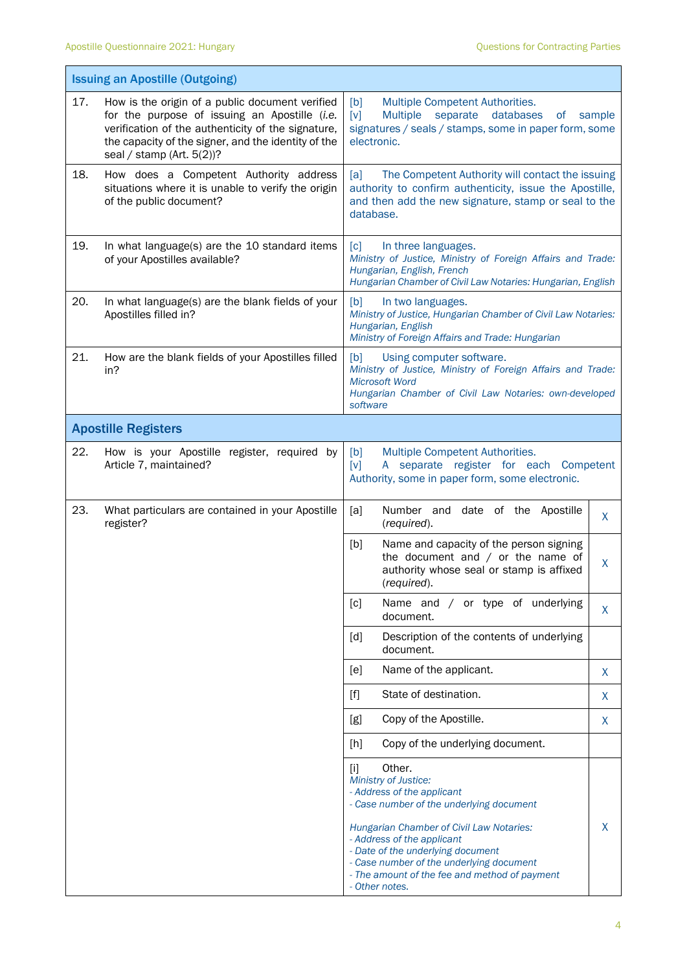|     | <b>Issuing an Apostille (Outgoing)</b>                                                                                                                                                                                                     |                                                                                                                                                                                                                            |        |
|-----|--------------------------------------------------------------------------------------------------------------------------------------------------------------------------------------------------------------------------------------------|----------------------------------------------------------------------------------------------------------------------------------------------------------------------------------------------------------------------------|--------|
| 17. | How is the origin of a public document verified<br>for the purpose of issuing an Apostille (i.e.<br>verification of the authenticity of the signature,<br>the capacity of the signer, and the identity of the<br>seal / stamp (Art. 5(2))? | [b]<br>Multiple Competent Authorities.<br><b>Multiple</b><br>separate databases<br>[v]<br>0f<br>signatures / seals / stamps, some in paper form, some<br>electronic.                                                       | sample |
| 18. | How does a Competent Authority address<br>situations where it is unable to verify the origin<br>of the public document?                                                                                                                    | The Competent Authority will contact the issuing<br>[a]<br>authority to confirm authenticity, issue the Apostille,<br>and then add the new signature, stamp or seal to the<br>database.                                    |        |
| 19. | In what language(s) are the 10 standard items<br>of your Apostilles available?                                                                                                                                                             | $\lceil c \rceil$<br>In three languages.<br>Ministry of Justice, Ministry of Foreign Affairs and Trade:<br>Hungarian, English, French<br>Hungarian Chamber of Civil Law Notaries: Hungarian, English                       |        |
| 20. | In what language(s) are the blank fields of your<br>Apostilles filled in?                                                                                                                                                                  | [b]<br>In two languages.<br>Ministry of Justice, Hungarian Chamber of Civil Law Notaries:<br>Hungarian, English<br>Ministry of Foreign Affairs and Trade: Hungarian                                                        |        |
| 21. | How are the blank fields of your Apostilles filled<br>in?                                                                                                                                                                                  | [b]<br>Using computer software.<br>Ministry of Justice, Ministry of Foreign Affairs and Trade:<br><b>Microsoft Word</b><br>Hungarian Chamber of Civil Law Notaries: own-developed<br>software                              |        |
|     | <b>Apostille Registers</b>                                                                                                                                                                                                                 |                                                                                                                                                                                                                            |        |
| 22. | How is your Apostille register, required by<br>Article 7, maintained?                                                                                                                                                                      | [b]<br>Multiple Competent Authorities.<br>A separate register for each Competent<br>$\lceil v \rceil$<br>Authority, some in paper form, some electronic.                                                                   |        |
| 23. | What particulars are contained in your Apostille<br>register?                                                                                                                                                                              | Number and date of the Apostille<br>[a]<br>(required).                                                                                                                                                                     | X      |
|     |                                                                                                                                                                                                                                            | [b]<br>Name and capacity of the person signing<br>the document and $/$ or the name of<br>authority whose seal or stamp is affixed<br>(required).                                                                           | X      |
|     |                                                                                                                                                                                                                                            | [c]<br>Name and / or type of underlying<br>document.                                                                                                                                                                       | X      |
|     |                                                                                                                                                                                                                                            | [d]<br>Description of the contents of underlying<br>document.                                                                                                                                                              |        |
|     |                                                                                                                                                                                                                                            | Name of the applicant.<br>[e]                                                                                                                                                                                              | X      |
|     |                                                                                                                                                                                                                                            | State of destination.<br>$[f]$                                                                                                                                                                                             | X      |
|     |                                                                                                                                                                                                                                            | Copy of the Apostille.<br>[g]                                                                                                                                                                                              | X      |
|     |                                                                                                                                                                                                                                            | Copy of the underlying document.<br>[h]                                                                                                                                                                                    |        |
|     |                                                                                                                                                                                                                                            | Other.<br>$[1]$<br>Ministry of Justice:<br>- Address of the applicant<br>- Case number of the underlying document                                                                                                          |        |
|     |                                                                                                                                                                                                                                            | Hungarian Chamber of Civil Law Notaries:<br>- Address of the applicant<br>- Date of the underlying document<br>- Case number of the underlying document<br>- The amount of the fee and method of payment<br>- Other notes. | X      |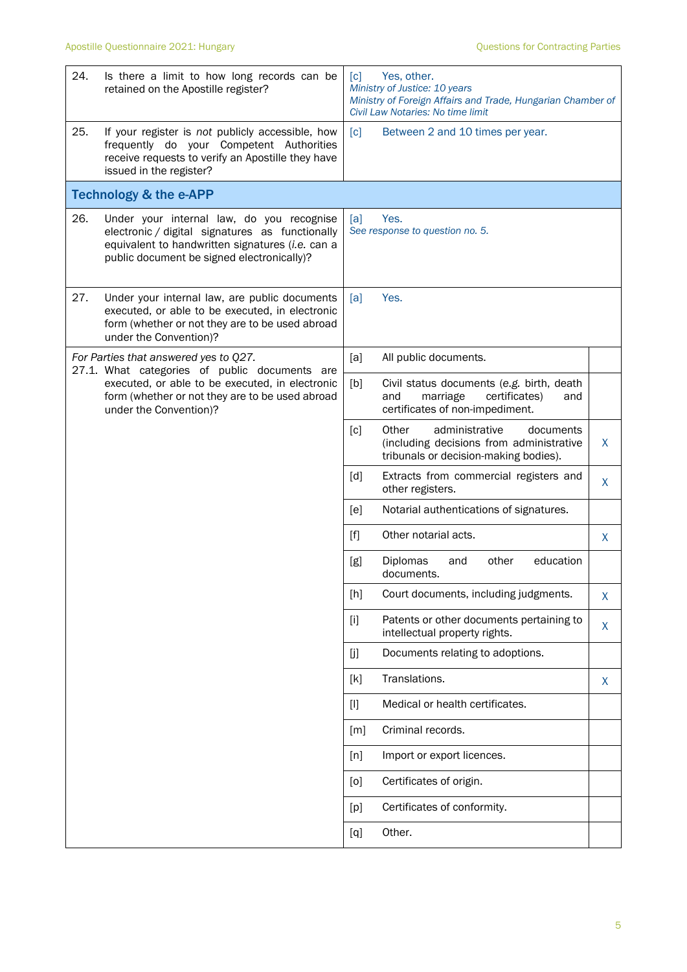| 24. | Is there a limit to how long records can be<br>retained on the Apostille register?                                                                                                             | $\lceil c \rceil$ | Yes, other.<br>Ministry of Justice: 10 years<br>Ministry of Foreign Affairs and Trade, Hungarian Chamber of<br>Civil Law Notaries: No time limit |   |
|-----|------------------------------------------------------------------------------------------------------------------------------------------------------------------------------------------------|-------------------|--------------------------------------------------------------------------------------------------------------------------------------------------|---|
| 25. | If your register is not publicly accessible, how<br>frequently do your Competent Authorities<br>receive requests to verify an Apostille they have<br>issued in the register?                   | $\lceil c \rceil$ | Between 2 and 10 times per year.                                                                                                                 |   |
|     | <b>Technology &amp; the e-APP</b>                                                                                                                                                              |                   |                                                                                                                                                  |   |
| 26. | Under your internal law, do you recognise<br>electronic / digital signatures as functionally<br>equivalent to handwritten signatures (i.e. can a<br>public document be signed electronically)? | [a]               | Yes.<br>See response to question no. 5.                                                                                                          |   |
| 27. | Under your internal law, are public documents<br>executed, or able to be executed, in electronic<br>form (whether or not they are to be used abroad<br>under the Convention)?                  | [a]               | Yes.                                                                                                                                             |   |
|     | For Parties that answered yes to Q27.<br>27.1. What categories of public documents are                                                                                                         | [a]               | All public documents.                                                                                                                            |   |
|     | executed, or able to be executed, in electronic<br>form (whether or not they are to be used abroad<br>under the Convention)?                                                                   | [b]               | Civil status documents (e.g. birth, death<br>and<br>certificates)<br>marriage<br>and<br>certificates of non-impediment.                          |   |
|     |                                                                                                                                                                                                | $\lceil c \rceil$ | Other<br>administrative<br>documents<br>(including decisions from administrative<br>tribunals or decision-making bodies).                        | X |
|     |                                                                                                                                                                                                | [d]               | Extracts from commercial registers and<br>other registers.                                                                                       | X |
|     |                                                                                                                                                                                                | [e]               | Notarial authentications of signatures.                                                                                                          |   |
|     |                                                                                                                                                                                                | $[f]$             | Other notarial acts.                                                                                                                             | X |
|     |                                                                                                                                                                                                | [g]               | education<br>Diplomas<br>and<br>other<br>documents.                                                                                              |   |
|     |                                                                                                                                                                                                | [h]               | Court documents, including judgments.                                                                                                            | X |
|     |                                                                                                                                                                                                | $[1]$             | Patents or other documents pertaining to<br>intellectual property rights.                                                                        | X |
|     |                                                                                                                                                                                                | [j]               | Documents relating to adoptions.                                                                                                                 |   |
|     |                                                                                                                                                                                                | [k]               | Translations.                                                                                                                                    | X |
|     |                                                                                                                                                                                                | $[1]$             | Medical or health certificates.                                                                                                                  |   |
|     |                                                                                                                                                                                                | $\lceil m \rceil$ | Criminal records.                                                                                                                                |   |
|     |                                                                                                                                                                                                | [n]               | Import or export licences.                                                                                                                       |   |
|     |                                                                                                                                                                                                | [0]               | Certificates of origin.                                                                                                                          |   |
|     |                                                                                                                                                                                                | [p]               | Certificates of conformity.                                                                                                                      |   |
|     |                                                                                                                                                                                                | [q]               | Other.                                                                                                                                           |   |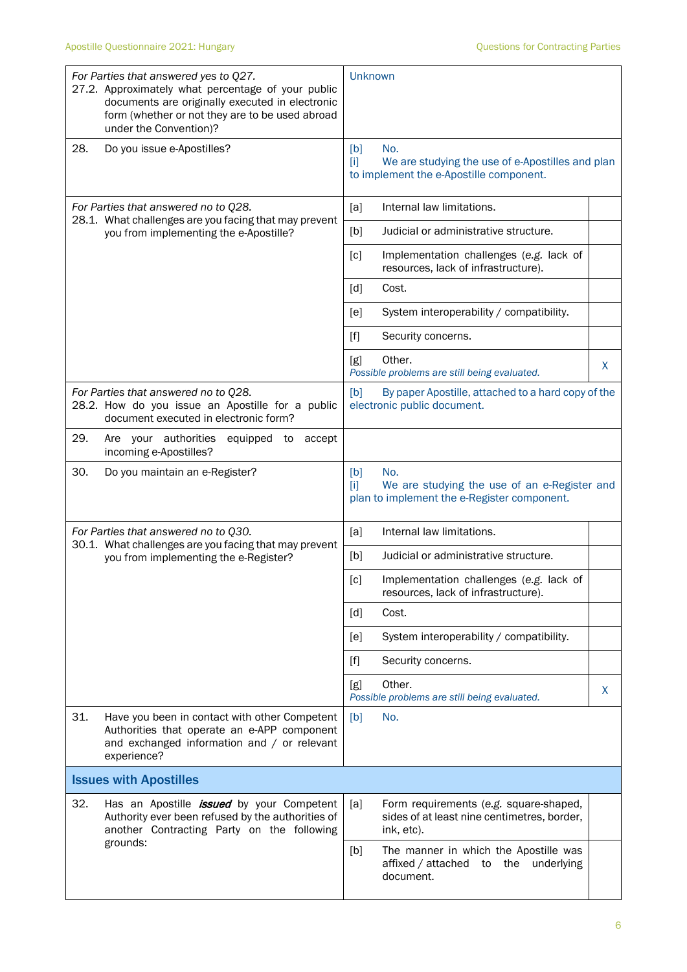|     | For Parties that answered yes to Q27.<br>27.2. Approximately what percentage of your public<br>documents are originally executed in electronic<br>form (whether or not they are to be used abroad<br>under the Convention)? | Unknown                                                                                                            |    |
|-----|-----------------------------------------------------------------------------------------------------------------------------------------------------------------------------------------------------------------------------|--------------------------------------------------------------------------------------------------------------------|----|
| 28. | Do you issue e-Apostilles?                                                                                                                                                                                                  | No.<br>[b]<br>We are studying the use of e-Apostilles and plan<br>$[1]$<br>to implement the e-Apostille component. |    |
|     | For Parties that answered no to Q28.                                                                                                                                                                                        | Internal law limitations.<br>[a]                                                                                   |    |
|     | 28.1. What challenges are you facing that may prevent<br>you from implementing the e-Apostille?                                                                                                                             | [b]<br>Judicial or administrative structure.                                                                       |    |
|     |                                                                                                                                                                                                                             | [c]<br>Implementation challenges (e.g. lack of<br>resources, lack of infrastructure).                              |    |
|     |                                                                                                                                                                                                                             | $\lceil d \rceil$<br>Cost.                                                                                         |    |
|     |                                                                                                                                                                                                                             | System interoperability / compatibility.<br>[e]                                                                    |    |
|     |                                                                                                                                                                                                                             | $[f]$<br>Security concerns.                                                                                        |    |
|     |                                                                                                                                                                                                                             | Other.<br>[g]<br>Possible problems are still being evaluated.                                                      | X. |
|     | For Parties that answered no to Q28.<br>28.2. How do you issue an Apostille for a public<br>document executed in electronic form?                                                                                           | By paper Apostille, attached to a hard copy of the<br>[b]<br>electronic public document.                           |    |
| 29. | Are your authorities<br>equipped to<br>accept<br>incoming e-Apostilles?                                                                                                                                                     |                                                                                                                    |    |
| 30. | Do you maintain an e-Register?                                                                                                                                                                                              | No.<br>[b]<br>[1]<br>We are studying the use of an e-Register and<br>plan to implement the e-Register component.   |    |
|     | For Parties that answered no to Q30.                                                                                                                                                                                        | [a]<br>Internal law limitations.                                                                                   |    |
|     | 30.1. What challenges are you facing that may prevent<br>you from implementing the e-Register?                                                                                                                              | Judicial or administrative structure.<br>[b]                                                                       |    |
|     |                                                                                                                                                                                                                             | [c]<br>Implementation challenges (e.g. lack of<br>resources, lack of infrastructure).                              |    |
|     |                                                                                                                                                                                                                             | [d]<br>Cost.                                                                                                       |    |
|     |                                                                                                                                                                                                                             | [e]<br>System interoperability / compatibility.                                                                    |    |
|     |                                                                                                                                                                                                                             | $[f]$<br>Security concerns.                                                                                        |    |
|     |                                                                                                                                                                                                                             | Other.<br>[g]<br>Possible problems are still being evaluated.                                                      | X  |
| 31. | Have you been in contact with other Competent<br>Authorities that operate an e-APP component<br>and exchanged information and / or relevant<br>experience?                                                                  | No.<br>[b]                                                                                                         |    |
|     | <b>Issues with Apostilles</b>                                                                                                                                                                                               |                                                                                                                    |    |
| 32. | Has an Apostille <i>issued</i> by your Competent<br>Authority ever been refused by the authorities of<br>another Contracting Party on the following<br>grounds:                                                             | [a]<br>Form requirements (e.g. square-shaped,<br>sides of at least nine centimetres, border,<br>ink, etc).         |    |
|     |                                                                                                                                                                                                                             | [b]<br>The manner in which the Apostille was<br>affixed / attached to the<br>underlying<br>document.               |    |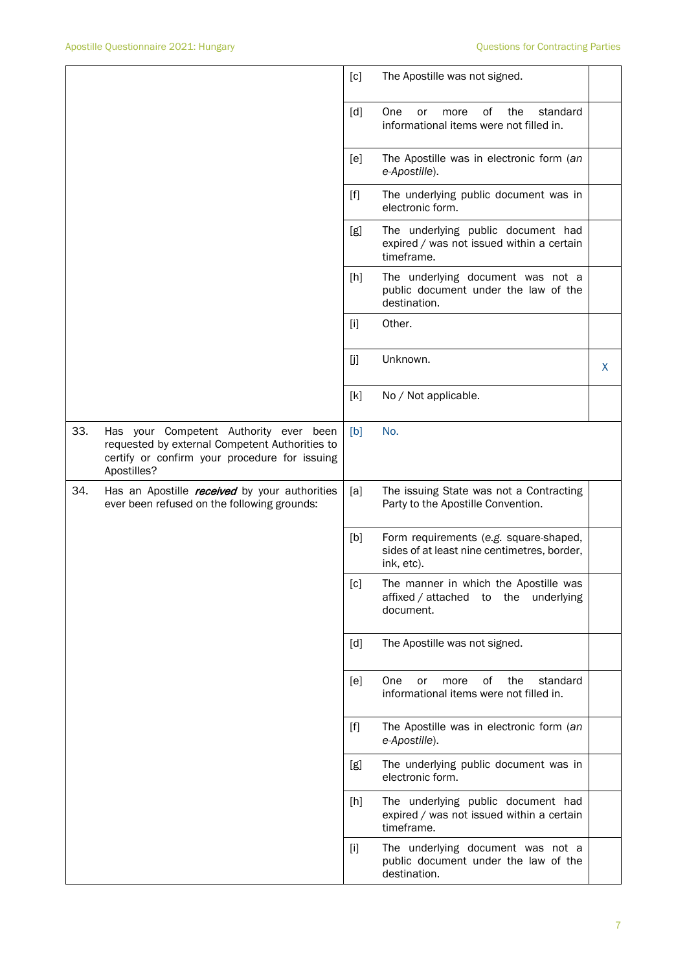|     |                                                                                                                                                          | [c]                                                                                                                                                                                              | The Apostille was not signed.                                                                       |   |
|-----|----------------------------------------------------------------------------------------------------------------------------------------------------------|--------------------------------------------------------------------------------------------------------------------------------------------------------------------------------------------------|-----------------------------------------------------------------------------------------------------|---|
|     |                                                                                                                                                          | [d]                                                                                                                                                                                              | 0f<br>the<br>standard<br><b>One</b><br>or<br>more<br>informational items were not filled in.        |   |
|     |                                                                                                                                                          | [e]                                                                                                                                                                                              | The Apostille was in electronic form (an<br>e-Apostille).                                           |   |
|     |                                                                                                                                                          | $[f]$                                                                                                                                                                                            | The underlying public document was in<br>electronic form.                                           |   |
|     |                                                                                                                                                          | [g]                                                                                                                                                                                              | The underlying public document had<br>expired / was not issued within a certain<br>timeframe.       |   |
|     |                                                                                                                                                          | [h]                                                                                                                                                                                              | The underlying document was not a<br>public document under the law of the<br>destination.           |   |
|     |                                                                                                                                                          | $[1]$                                                                                                                                                                                            | Other.                                                                                              |   |
|     |                                                                                                                                                          | [j]                                                                                                                                                                                              | Unknown.                                                                                            | X |
|     |                                                                                                                                                          | [k]                                                                                                                                                                                              | No / Not applicable.                                                                                |   |
| 33. | Has your Competent Authority ever been<br>requested by external Competent Authorities to<br>certify or confirm your procedure for issuing<br>Apostilles? | [b]                                                                                                                                                                                              | No.                                                                                                 |   |
| 34. | Has an Apostille <i>received</i> by your authorities<br>ever been refused on the following grounds:                                                      | [a]                                                                                                                                                                                              | The issuing State was not a Contracting<br>Party to the Apostille Convention.                       |   |
|     |                                                                                                                                                          | [b]                                                                                                                                                                                              | Form requirements (e.g. square-shaped,<br>sides of at least nine centimetres, border,<br>ink, etc). |   |
|     |                                                                                                                                                          | [c]                                                                                                                                                                                              | The manner in which the Apostille was<br>affixed / attached to the underlying<br>document.          |   |
|     |                                                                                                                                                          | [d]                                                                                                                                                                                              | The Apostille was not signed.                                                                       |   |
|     |                                                                                                                                                          | [e]                                                                                                                                                                                              | of<br>One<br>the<br>standard<br>or<br>more<br>informational items were not filled in.               |   |
|     |                                                                                                                                                          | $[f] % \begin{center} % \includegraphics[width=\linewidth]{imagesSupplemental_3.png} % \end{center} % \caption { % Our method can be used for the use of the image. % } % \label{fig:example} %$ | The Apostille was in electronic form (an<br>e-Apostille).                                           |   |
|     |                                                                                                                                                          | [g]                                                                                                                                                                                              | The underlying public document was in<br>electronic form.                                           |   |
|     |                                                                                                                                                          | [h]                                                                                                                                                                                              | The underlying public document had<br>expired / was not issued within a certain<br>timeframe.       |   |
|     |                                                                                                                                                          | $[1]$                                                                                                                                                                                            | The underlying document was not a<br>public document under the law of the<br>destination.           |   |